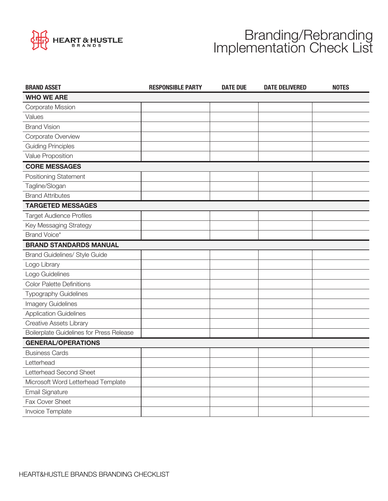

## Branding/Rebranding Implementation Check List

| <b>BRAND ASSET</b>                       | <b>RESPONSIBLE PARTY</b> | <b>DATE DUE</b> | <b>DATE DELIVERED</b> | <b>NOTES</b> |
|------------------------------------------|--------------------------|-----------------|-----------------------|--------------|
| <b>WHO WE ARE</b>                        |                          |                 |                       |              |
| Corporate Mission                        |                          |                 |                       |              |
| Values                                   |                          |                 |                       |              |
| <b>Brand Vision</b>                      |                          |                 |                       |              |
| Corporate Overview                       |                          |                 |                       |              |
| <b>Guiding Principles</b>                |                          |                 |                       |              |
| Value Proposition                        |                          |                 |                       |              |
| <b>CORE MESSAGES</b>                     |                          |                 |                       |              |
| <b>Positioning Statement</b>             |                          |                 |                       |              |
| Tagline/Slogan                           |                          |                 |                       |              |
| <b>Brand Attributes</b>                  |                          |                 |                       |              |
| <b>TARGETED MESSAGES</b>                 |                          |                 |                       |              |
| <b>Target Audience Profiles</b>          |                          |                 |                       |              |
| Key Messaging Strategy                   |                          |                 |                       |              |
| Brand Voice*                             |                          |                 |                       |              |
| <b>BRAND STANDARDS MANUAL</b>            |                          |                 |                       |              |
| Brand Guidelines/ Style Guide            |                          |                 |                       |              |
| Logo Library                             |                          |                 |                       |              |
| Logo Guidelines                          |                          |                 |                       |              |
| <b>Color Palette Definitions</b>         |                          |                 |                       |              |
| <b>Typography Guidelines</b>             |                          |                 |                       |              |
| Imagery Guidelines                       |                          |                 |                       |              |
| <b>Application Guidelines</b>            |                          |                 |                       |              |
| Creative Assets Library                  |                          |                 |                       |              |
| Boilerplate Guidelines for Press Release |                          |                 |                       |              |
| <b>GENERAL/OPERATIONS</b>                |                          |                 |                       |              |
| <b>Business Cards</b>                    |                          |                 |                       |              |
| Letterhead                               |                          |                 |                       |              |
| Letterhead Second Sheet                  |                          |                 |                       |              |
| Microsoft Word Letterhead Template       |                          |                 |                       |              |
| <b>Email Signature</b>                   |                          |                 |                       |              |
| Fax Cover Sheet                          |                          |                 |                       |              |
| Invoice Template                         |                          |                 |                       |              |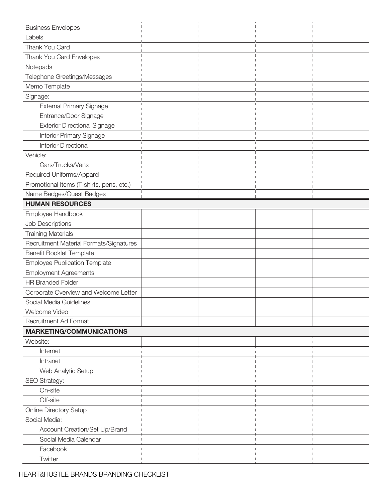| <b>Business Envelopes</b>                | П |  | Π |   |  |
|------------------------------------------|---|--|---|---|--|
| Labels                                   |   |  |   |   |  |
| Thank You Card                           |   |  |   |   |  |
| Thank You Card Envelopes                 |   |  |   |   |  |
| Notepads                                 |   |  |   |   |  |
| Telephone Greetings/Messages             |   |  |   |   |  |
| Memo Template                            |   |  |   |   |  |
| Signage:                                 |   |  |   |   |  |
| <b>External Primary Signage</b>          |   |  | п | п |  |
| Entrance/Door Signage                    |   |  |   |   |  |
| <b>Exterior Directional Signage</b>      |   |  |   |   |  |
| Interior Primary Signage                 |   |  |   |   |  |
| <b>Interior Directional</b>              |   |  |   |   |  |
| Vehicle:                                 |   |  |   |   |  |
| Cars/Trucks/Vans                         |   |  |   |   |  |
| Required Uniforms/Apparel                |   |  |   |   |  |
| Promotional Items (T-shirts, pens, etc.) |   |  |   |   |  |
| Name Badges/Guest Badges                 |   |  |   |   |  |
| <b>HUMAN RESOURCES</b>                   |   |  |   |   |  |
| Employee Handbook                        |   |  |   |   |  |
| Job Descriptions                         |   |  |   |   |  |
| <b>Training Materials</b>                |   |  |   |   |  |
| Recruitment Material Formats/Signatures  |   |  |   |   |  |
| <b>Benefit Booklet Template</b>          |   |  |   |   |  |
| <b>Employee Publication Template</b>     |   |  |   |   |  |
| <b>Employment Agreements</b>             |   |  |   |   |  |
| <b>HR Branded Folder</b>                 |   |  |   |   |  |
| Corporate Overview and Welcome Letter    |   |  |   |   |  |
| Social Media Guidelines                  |   |  |   |   |  |
| Welcome Video                            |   |  |   |   |  |
| Recruitment Ad Format                    |   |  |   |   |  |
| <b>MARKETING/COMMUNICATIONS</b>          |   |  |   |   |  |
| Website:                                 |   |  |   |   |  |
| Internet                                 |   |  |   |   |  |
| Intranet                                 |   |  |   |   |  |
| Web Analytic Setup                       |   |  |   |   |  |
| SEO Strategy:                            |   |  |   |   |  |
| On-site                                  |   |  |   |   |  |
| Off-site                                 |   |  |   |   |  |
| <b>Online Directory Setup</b>            |   |  |   |   |  |
| Social Media:                            |   |  |   |   |  |
| Account Creation/Set Up/Brand            |   |  |   |   |  |
| Social Media Calendar                    |   |  |   |   |  |
| Facebook                                 |   |  |   |   |  |
| Twitter                                  |   |  |   |   |  |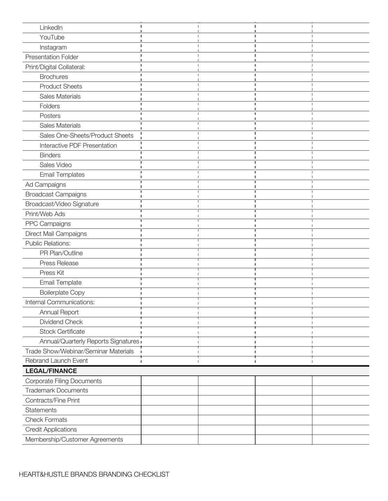| LinkedIn                             |   | п | п | п |
|--------------------------------------|---|---|---|---|
| YouTube                              |   |   |   |   |
| Instagram                            |   |   |   |   |
| <b>Presentation Folder</b>           |   |   |   |   |
| Print/Digital Collateral:            |   |   |   |   |
| <b>Brochures</b>                     |   |   |   |   |
| <b>Product Sheets</b>                |   |   |   |   |
| Sales Materials                      |   |   |   |   |
| Folders                              |   |   |   |   |
| Posters                              |   |   |   |   |
| Sales Materials                      |   |   |   |   |
| Sales One-Sheets/Product Sheets      |   |   |   |   |
| Interactive PDF Presentation         |   |   |   |   |
| <b>Binders</b>                       |   |   |   |   |
| Sales Video                          |   |   |   |   |
| <b>Email Templates</b>               |   |   |   |   |
| Ad Campaigns                         |   |   |   |   |
| <b>Broadcast Campaigns</b>           |   |   |   |   |
| Broadcast/Video Signature            |   |   |   |   |
| Print/Web Ads                        |   |   |   |   |
| PPC Campaigns                        |   |   |   |   |
| Direct Mail Campaigns                |   |   |   |   |
| <b>Public Relations:</b>             |   |   |   |   |
| PR Plan/Outline                      |   |   |   |   |
| Press Release                        |   |   |   |   |
| Press Kit                            |   |   |   |   |
| <b>Email Template</b>                |   |   |   |   |
| <b>Boilerplate Copy</b>              |   |   |   |   |
| Internal Communications:             |   |   |   |   |
| Annual Report                        |   |   |   |   |
| Dividend Check                       |   |   |   |   |
| <b>Stock Certificate</b>             |   |   |   |   |
| Annual/Quarterly Reports Signatures  |   |   |   |   |
| Trade Show/Webinar/Seminar Materials |   |   |   |   |
| Rebrand Launch Event                 | п |   | п |   |
| <b>LEGAL/FINANCE</b>                 |   |   |   |   |
| <b>Corporate Filing Documents</b>    |   |   |   |   |
| <b>Trademark Documents</b>           |   |   |   |   |
| Contracts/Fine Print                 |   |   |   |   |
| <b>Statements</b>                    |   |   |   |   |
| <b>Check Formats</b>                 |   |   |   |   |
| <b>Credit Applications</b>           |   |   |   |   |
| Membership/Customer Agreements       |   |   |   |   |